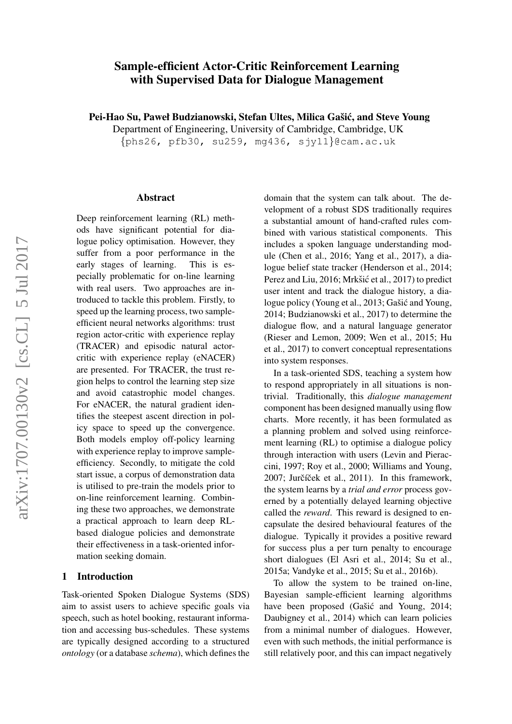# Sample-efficient Actor-Critic Reinforcement Learning with Supervised Data for Dialogue Management

Pei-Hao Su, Paweł Budzianowski, Stefan Ultes, Milica Gašić, and Steve Young

Department of Engineering, University of Cambridge, Cambridge, UK

 ${\{\text{phs26, pfb30, su259, mg436, syy11}\}}$ ecam.ac.uk

### Abstract

Deep reinforcement learning (RL) methods have significant potential for dialogue policy optimisation. However, they suffer from a poor performance in the early stages of learning. This is especially problematic for on-line learning with real users. Two approaches are introduced to tackle this problem. Firstly, to speed up the learning process, two sampleefficient neural networks algorithms: trust region actor-critic with experience replay (TRACER) and episodic natural actorcritic with experience replay (eNACER) are presented. For TRACER, the trust region helps to control the learning step size and avoid catastrophic model changes. For eNACER, the natural gradient identifies the steepest ascent direction in policy space to speed up the convergence. Both models employ off-policy learning with experience replay to improve sampleefficiency. Secondly, to mitigate the cold start issue, a corpus of demonstration data is utilised to pre-train the models prior to on-line reinforcement learning. Combining these two approaches, we demonstrate a practical approach to learn deep RLbased dialogue policies and demonstrate their effectiveness in a task-oriented information seeking domain.

# 1 Introduction

Task-oriented Spoken Dialogue Systems (SDS) aim to assist users to achieve specific goals via speech, such as hotel booking, restaurant information and accessing bus-schedules. These systems are typically designed according to a structured *ontology* (or a database *schema*), which defines the domain that the system can talk about. The development of a robust SDS traditionally requires a substantial amount of hand-crafted rules combined with various statistical components. This includes a spoken language understanding module (Chen et al., 2016; Yang et al., 2017), a dialogue belief state tracker (Henderson et al., 2014; Perez and Liu, 2016; Mrkšić et al., 2017) to predict user intent and track the dialogue history, a dialogue policy (Young et al., 2013; Gašić and Young, 2014; Budzianowski et al., 2017) to determine the dialogue flow, and a natural language generator (Rieser and Lemon, 2009; Wen et al., 2015; Hu et al., 2017) to convert conceptual representations into system responses.

In a task-oriented SDS, teaching a system how to respond appropriately in all situations is nontrivial. Traditionally, this *dialogue management* component has been designed manually using flow charts. More recently, it has been formulated as a planning problem and solved using reinforcement learning (RL) to optimise a dialogue policy through interaction with users (Levin and Pieraccini, 1997; Roy et al., 2000; Williams and Young, 2007; Jurčíček et al., 2011). In this framework, the system learns by a *trial and error* process governed by a potentially delayed learning objective called the *reward*. This reward is designed to encapsulate the desired behavioural features of the dialogue. Typically it provides a positive reward for success plus a per turn penalty to encourage short dialogues (El Asri et al., 2014; Su et al., 2015a; Vandyke et al., 2015; Su et al., 2016b).

To allow the system to be trained on-line, Bayesian sample-efficient learning algorithms have been proposed (Gašić and Young, 2014; Daubigney et al., 2014) which can learn policies from a minimal number of dialogues. However, even with such methods, the initial performance is still relatively poor, and this can impact negatively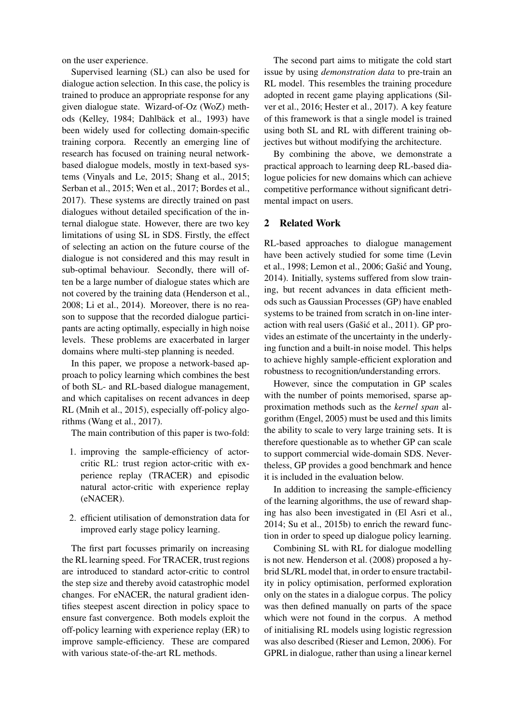on the user experience.

Supervised learning (SL) can also be used for dialogue action selection. In this case, the policy is trained to produce an appropriate response for any given dialogue state. Wizard-of-Oz (WoZ) methods (Kelley, 1984; Dahlbäck et al., 1993) have been widely used for collecting domain-specific training corpora. Recently an emerging line of research has focused on training neural networkbased dialogue models, mostly in text-based systems (Vinyals and Le, 2015; Shang et al., 2015; Serban et al., 2015; Wen et al., 2017; Bordes et al., 2017). These systems are directly trained on past dialogues without detailed specification of the internal dialogue state. However, there are two key limitations of using SL in SDS. Firstly, the effect of selecting an action on the future course of the dialogue is not considered and this may result in sub-optimal behaviour. Secondly, there will often be a large number of dialogue states which are not covered by the training data (Henderson et al., 2008; Li et al., 2014). Moreover, there is no reason to suppose that the recorded dialogue participants are acting optimally, especially in high noise levels. These problems are exacerbated in larger domains where multi-step planning is needed.

In this paper, we propose a network-based approach to policy learning which combines the best of both SL- and RL-based dialogue management, and which capitalises on recent advances in deep RL (Mnih et al., 2015), especially off-policy algorithms (Wang et al., 2017).

The main contribution of this paper is two-fold:

- 1. improving the sample-efficiency of actorcritic RL: trust region actor-critic with experience replay (TRACER) and episodic natural actor-critic with experience replay (eNACER).
- 2. efficient utilisation of demonstration data for improved early stage policy learning.

The first part focusses primarily on increasing the RL learning speed. For TRACER, trust regions are introduced to standard actor-critic to control the step size and thereby avoid catastrophic model changes. For eNACER, the natural gradient identifies steepest ascent direction in policy space to ensure fast convergence. Both models exploit the off-policy learning with experience replay (ER) to improve sample-efficiency. These are compared with various state-of-the-art RL methods.

The second part aims to mitigate the cold start issue by using *demonstration data* to pre-train an RL model. This resembles the training procedure adopted in recent game playing applications (Silver et al., 2016; Hester et al., 2017). A key feature of this framework is that a single model is trained using both SL and RL with different training objectives but without modifying the architecture.

By combining the above, we demonstrate a practical approach to learning deep RL-based dialogue policies for new domains which can achieve competitive performance without significant detrimental impact on users.

# 2 Related Work

RL-based approaches to dialogue management have been actively studied for some time (Levin et al., 1998; Lemon et al., 2006; Gašić and Young, 2014). Initially, systems suffered from slow training, but recent advances in data efficient methods such as Gaussian Processes (GP) have enabled systems to be trained from scratch in on-line interaction with real users (Gašić et al., 2011). GP provides an estimate of the uncertainty in the underlying function and a built-in noise model. This helps to achieve highly sample-efficient exploration and robustness to recognition/understanding errors.

However, since the computation in GP scales with the number of points memorised, sparse approximation methods such as the *kernel span* algorithm (Engel, 2005) must be used and this limits the ability to scale to very large training sets. It is therefore questionable as to whether GP can scale to support commercial wide-domain SDS. Nevertheless, GP provides a good benchmark and hence it is included in the evaluation below.

In addition to increasing the sample-efficiency of the learning algorithms, the use of reward shaping has also been investigated in (El Asri et al., 2014; Su et al., 2015b) to enrich the reward function in order to speed up dialogue policy learning.

Combining SL with RL for dialogue modelling is not new. Henderson et al. (2008) proposed a hybrid SL/RL model that, in order to ensure tractability in policy optimisation, performed exploration only on the states in a dialogue corpus. The policy was then defined manually on parts of the space which were not found in the corpus. A method of initialising RL models using logistic regression was also described (Rieser and Lemon, 2006). For GPRL in dialogue, rather than using a linear kernel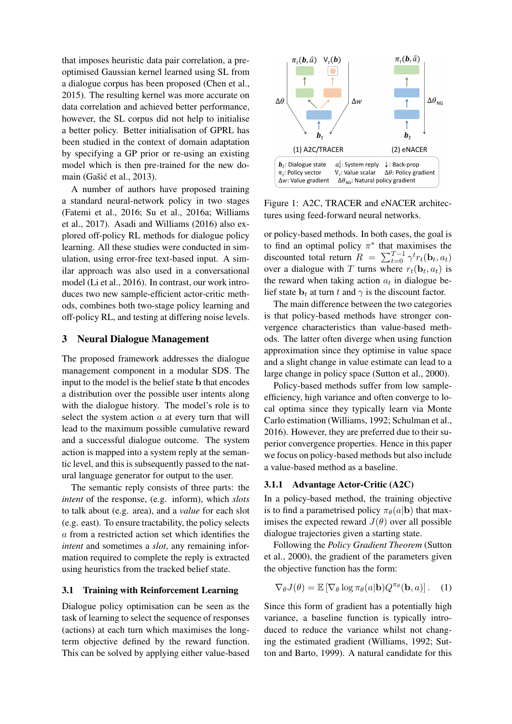that imposes heuristic data pair correlation, a preoptimised Gaussian kernel learned using SL from a dialogue corpus has been proposed (Chen et al., 2015). The resulting kernel was more accurate on data correlation and achieved better performance, however, the SL corpus did not help to initialise a better policy. Better initialisation of GPRL has been studied in the context of domain adaptation by specifying a GP prior or re-using an existing model which is then pre-trained for the new domain (Gašić et al., 2013).

A number of authors have proposed training a standard neural-network policy in two stages (Fatemi et al., 2016; Su et al., 2016a; Williams et al., 2017). Asadi and Williams (2016) also explored off-policy RL methods for dialogue policy learning. All these studies were conducted in simulation, using error-free text-based input. A similar approach was also used in a conversational model (Li et al., 2016). In contrast, our work introduces two new sample-efficient actor-critic methods, combines both two-stage policy learning and off-policy RL, and testing at differing noise levels.

### 3 Neural Dialogue Management

The proposed framework addresses the dialogue management component in a modular SDS. The input to the model is the belief state b that encodes a distribution over the possible user intents along with the dialogue history. The model's role is to select the system action  $a$  at every turn that will lead to the maximum possible cumulative reward and a successful dialogue outcome. The system action is mapped into a system reply at the semantic level, and this is subsequently passed to the natural language generator for output to the user.

The semantic reply consists of three parts: the *intent* of the response, (e.g. inform), which *slots* to talk about (e.g. area), and a *value* for each slot (e.g. east). To ensure tractability, the policy selects a from a restricted action set which identifies the *intent* and sometimes a *slot*, any remaining information required to complete the reply is extracted using heuristics from the tracked belief state.

# 3.1 Training with Reinforcement Learning

Dialogue policy optimisation can be seen as the task of learning to select the sequence of responses (actions) at each turn which maximises the longterm objective defined by the reward function. This can be solved by applying either value-based



Figure 1: A2C, TRACER and eNACER architectures using feed-forward neural networks.

or policy-based methods. In both cases, the goal is to find an optimal policy  $\pi^*$  that maximises the discounted total return  $R = \sum_{t=0}^{T-1} \gamma^t r_t(\mathbf{b}_t, a_t)$ over a dialogue with T turns where  $r_t(\mathbf{b}_t, a_t)$  is the reward when taking action  $a_t$  in dialogue belief state  $\mathbf{b}_t$  at turn t and  $\gamma$  is the discount factor.

The main difference between the two categories is that policy-based methods have stronger convergence characteristics than value-based methods. The latter often diverge when using function approximation since they optimise in value space and a slight change in value estimate can lead to a large change in policy space (Sutton et al., 2000).

Policy-based methods suffer from low sampleefficiency, high variance and often converge to local optima since they typically learn via Monte Carlo estimation (Williams, 1992; Schulman et al., 2016). However, they are preferred due to their superior convergence properties. Hence in this paper we focus on policy-based methods but also include a value-based method as a baseline.

# 3.1.1 Advantage Actor-Critic (A2C)

In a policy-based method, the training objective is to find a parametrised policy  $\pi_{\theta}(a|\mathbf{b})$  that maximises the expected reward  $J(\theta)$  over all possible dialogue trajectories given a starting state.

Following the *Policy Gradient Theorem* (Sutton et al., 2000), the gradient of the parameters given the objective function has the form:

$$
\nabla_{\theta} J(\theta) = \mathbb{E} \left[ \nabla_{\theta} \log \pi_{\theta}(a | \mathbf{b}) Q^{\pi_{\theta}}(\mathbf{b}, a) \right]. \quad (1)
$$

Since this form of gradient has a potentially high variance, a baseline function is typically introduced to reduce the variance whilst not changing the estimated gradient (Williams, 1992; Sutton and Barto, 1999). A natural candidate for this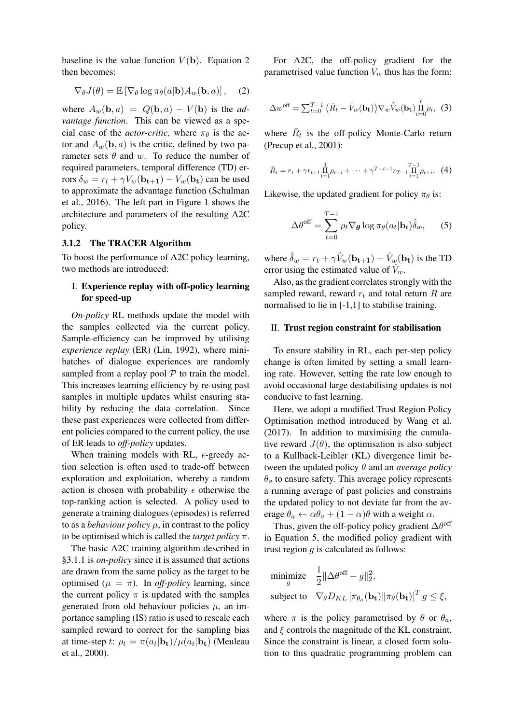baseline is the value function  $V(\mathbf{b})$ . Equation 2 then becomes:

$$
\nabla_{\theta} J(\theta) = \mathbb{E} \left[ \nabla_{\theta} \log \pi_{\theta}(a | \mathbf{b}) A_w(\mathbf{b}, a) \right], \quad (2)
$$

where  $A_w(\mathbf{b}, a) = Q(\mathbf{b}, a) - V(\mathbf{b})$  is the *advantage function*. This can be viewed as a special case of the *actor-critic*, where  $\pi_{\theta}$  is the actor and  $A_w(\mathbf{b}, a)$  is the critic, defined by two parameter sets  $\theta$  and w. To reduce the number of required parameters, temporal difference (TD) errors  $\delta_w = r_t + \gamma V_w(\mathbf{b_{t+1}}) - V_w(\mathbf{b_t})$  can be used to approximate the advantage function (Schulman et al., 2016). The left part in Figure 1 shows the architecture and parameters of the resulting A2C policy.

### 3.1.2 The TRACER Algorithm

To boost the performance of A2C policy learning, two methods are introduced:

# I. Experience replay with off-policy learning for speed-up

*On-policy* RL methods update the model with the samples collected via the current policy. Sample-efficiency can be improved by utilising *experience replay* (ER) (Lin, 1992), where minibatches of dialogue experiences are randomly sampled from a replay pool  $P$  to train the model. This increases learning efficiency by re-using past samples in multiple updates whilst ensuring stability by reducing the data correlation. Since these past experiences were collected from different policies compared to the current policy, the use of ER leads to *off-policy* updates.

When training models with RL,  $\epsilon$ -greedy action selection is often used to trade-off between exploration and exploitation, whereby a random action is chosen with probability  $\epsilon$  otherwise the top-ranking action is selected. A policy used to generate a training dialogues (episodes) is referred to as a *behaviour policy*  $\mu$ , in contrast to the policy to be optimised which is called the *target policy* π.

The basic A2C training algorithm described in §3.1.1 is *on-policy* since it is assumed that actions are drawn from the same policy as the target to be optimised ( $\mu = \pi$ ). In *off-policy* learning, since the current policy  $\pi$  is updated with the samples generated from old behaviour policies  $\mu$ , an importance sampling (IS) ratio is used to rescale each sampled reward to correct for the sampling bias at time-step t:  $\rho_t = \pi(a_t | \mathbf{b_t}) / \mu(a_t | \mathbf{b_t})$  (Meuleau et al., 2000).

For A2C, the off-policy gradient for the parametrised value function  $V_w$  thus has the form:

$$
\Delta w^{\text{off}} = \sum_{t=0}^{T-1} \left( \bar{R}_t - \hat{V}_w(\mathbf{b_t}) \right) \nabla_w \hat{V}_w(\mathbf{b_t}) \prod_{i=0}^t \rho_i, \tag{3}
$$

where  $\bar{R}_t$  is the off-policy Monte-Carlo return (Precup et al., 2001):

$$
\bar{R}_t = r_t + \gamma r_{t+1} \prod_{i=1}^1 \rho_{t+i} + \dots + \gamma^{T-t-1} r_{T-1} \prod_{i=1}^{T-1} \rho_{t+i}.
$$
 (4)

Likewise, the updated gradient for policy  $\pi_{\theta}$  is:

$$
\Delta\theta^{\text{off}} = \sum_{t=0}^{T-1} \rho_t \nabla_{\theta} \log \pi_{\theta}(a_t | \mathbf{b}_t) \hat{\delta}_w, \qquad (5)
$$

where  $\hat{\delta}_w = r_t + \gamma \hat{V}_w(\mathbf{b_{t+1}}) - \hat{V}_w(\mathbf{b_t})$  is the TD error using the estimated value of  $V_w$ .

Also, as the gradient correlates strongly with the sampled reward, reward  $r_t$  and total return R are normalised to lie in [-1,1] to stabilise training.

### II. Trust region constraint for stabilisation

To ensure stability in RL, each per-step policy change is often limited by setting a small learning rate. However, setting the rate low enough to avoid occasional large destabilising updates is not conducive to fast learning.

Here, we adopt a modified Trust Region Policy Optimisation method introduced by Wang et al. (2017). In addition to maximising the cumulative reward  $J(\theta)$ , the optimisation is also subject to a Kullback-Leibler (KL) divergence limit between the updated policy θ and an *average policy*  $\theta_a$  to ensure safety. This average policy represents a running average of past policies and constrains the updated policy to not deviate far from the average  $\theta_a \leftarrow \alpha \theta_a + (1 - \alpha) \theta$  with a weight  $\alpha$ .

Thus, given the off-policy policy gradient  $\Delta\theta^{\rm off}$ in Equation 5, the modified policy gradient with trust region  $g$  is calculated as follows:

minimize 
$$
\frac{1}{2} ||\Delta \theta^{\text{off}} - g||_2^2
$$
,  
subject to  $\nabla_{\theta} D_{KL} [\pi_{\theta_a}(\mathbf{b_t}) || \pi_{\theta}(\mathbf{b_t})]^T g \le \xi$ ,

where  $\pi$  is the policy parametrised by  $\theta$  or  $\theta_a$ , and  $\xi$  controls the magnitude of the KL constraint. Since the constraint is linear, a closed form solution to this quadratic programming problem can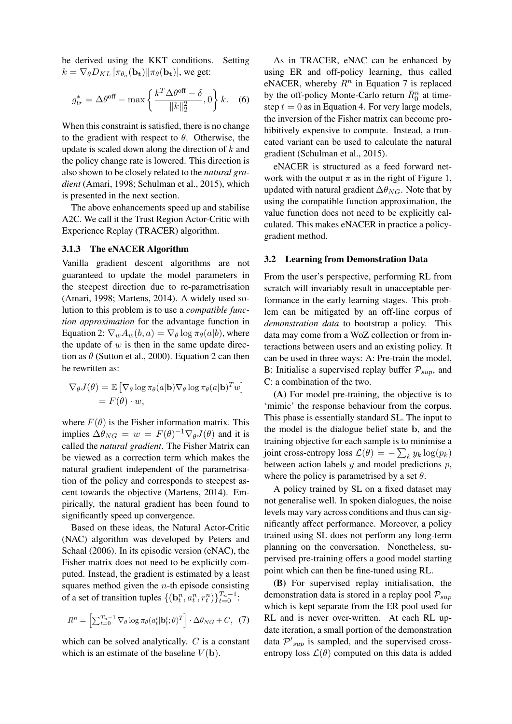be derived using the KKT conditions. Setting  $k = \nabla_{\theta} D_{KL} \left[ \pi_{\theta_a}(\mathbf{b_t}) || \pi_{\theta}(\mathbf{b_t}) \right]$ , we get:

$$
g_{tr}^* = \Delta\theta^{\text{off}} - \max\left\{\frac{k^T \Delta\theta^{\text{off}} - \delta}{\|k\|_2^2}, 0\right\} k. \quad (6)
$$

When this constraint is satisfied, there is no change to the gradient with respect to  $\theta$ . Otherwise, the update is scaled down along the direction of  $k$  and the policy change rate is lowered. This direction is also shown to be closely related to the *natural gradient* (Amari, 1998; Schulman et al., 2015), which is presented in the next section.

The above enhancements speed up and stabilise A2C. We call it the Trust Region Actor-Critic with Experience Replay (TRACER) algorithm.

### 3.1.3 The eNACER Algorithm

Vanilla gradient descent algorithms are not guaranteed to update the model parameters in the steepest direction due to re-parametrisation (Amari, 1998; Martens, 2014). A widely used solution to this problem is to use a *compatible function approximation* for the advantage function in Equation 2:  $\nabla_w A_w(b, a) = \nabla_\theta \log \pi_\theta(a|b)$ , where the update of  $w$  is then in the same update direction as  $\theta$  (Sutton et al., 2000). Equation 2 can then be rewritten as:

$$
\nabla_{\theta} J(\theta) = \mathbb{E} \left[ \nabla_{\theta} \log \pi_{\theta}(a | \mathbf{b}) \nabla_{\theta} \log \pi_{\theta}(a | \mathbf{b})^T w \right]
$$

$$
= F(\theta) \cdot w,
$$

where  $F(\theta)$  is the Fisher information matrix. This implies  $\Delta \theta_{NG} = w = F(\theta)^{-1} \nabla_{\theta} J(\theta)$  and it is called the *natural gradient*. The Fisher Matrix can be viewed as a correction term which makes the natural gradient independent of the parametrisation of the policy and corresponds to steepest ascent towards the objective (Martens, 2014). Empirically, the natural gradient has been found to significantly speed up convergence.

Based on these ideas, the Natural Actor-Critic (NAC) algorithm was developed by Peters and Schaal (2006). In its episodic version (eNAC), the Fisher matrix does not need to be explicitly computed. Instead, the gradient is estimated by a least squares method given the  $n$ -th episode consisting of a set of transition tuples  $\{(\mathbf{b}_t^n, a_t^n, r_t^n)\}_{t=0}^{T_n-1}$ :

$$
R^{n} = \left[\sum_{t=0}^{T_{n}-1} \nabla_{\theta} \log \pi_{\theta}(a_{t}^{i}|\mathbf{b}_{t}^{i}; \theta)^{T}\right] \cdot \Delta \theta_{NG} + C, \tag{7}
$$

which can be solved analytically.  $C$  is a constant which is an estimate of the baseline  $V(\mathbf{b})$ .

As in TRACER, eNAC can be enhanced by using ER and off-policy learning, thus called eNACER, whereby  $R<sup>n</sup>$  in Equation 7 is replaced by the off-policy Monte-Carlo return  $\bar{R}_0^n$  at timestep  $t = 0$  as in Equation 4. For very large models, the inversion of the Fisher matrix can become prohibitively expensive to compute. Instead, a truncated variant can be used to calculate the natural gradient (Schulman et al., 2015).

eNACER is structured as a feed forward network with the output  $\pi$  as in the right of Figure 1, updated with natural gradient  $\Delta\theta_{NG}$ . Note that by using the compatible function approximation, the value function does not need to be explicitly calculated. This makes eNACER in practice a policygradient method.

#### 3.2 Learning from Demonstration Data

From the user's perspective, performing RL from scratch will invariably result in unacceptable performance in the early learning stages. This problem can be mitigated by an off-line corpus of *demonstration data* to bootstrap a policy. This data may come from a WoZ collection or from interactions between users and an existing policy. It can be used in three ways: A: Pre-train the model, B: Initialise a supervised replay buffer  $P_{sup}$ , and C: a combination of the two.

(A) For model pre-training, the objective is to 'mimic' the response behaviour from the corpus. This phase is essentially standard SL. The input to the model is the dialogue belief state b, and the training objective for each sample is to minimise a joint cross-entropy loss  $\mathcal{L}(\theta) = -\sum_k y_k \log(p_k)$ between action labels  $y$  and model predictions  $p$ , where the policy is parametrised by a set  $\theta$ .

A policy trained by SL on a fixed dataset may not generalise well. In spoken dialogues, the noise levels may vary across conditions and thus can significantly affect performance. Moreover, a policy trained using SL does not perform any long-term planning on the conversation. Nonetheless, supervised pre-training offers a good model starting point which can then be fine-tuned using RL.

(B) For supervised replay initialisation, the demonstration data is stored in a replay pool  $\mathcal{P}_{\text{sup}}$ which is kept separate from the ER pool used for RL and is never over-written. At each RL update iteration, a small portion of the demonstration data  $\mathcal{P'}_{sup}$  is sampled, and the supervised crossentropy loss  $\mathcal{L}(\theta)$  computed on this data is added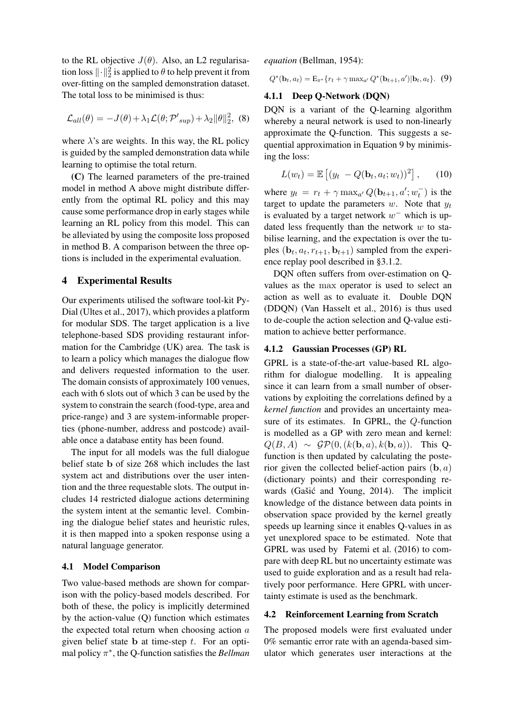to the RL objective  $J(\theta)$ . Also, an L2 regularisation loss  $\lVert \cdot \rVert_2^2$  is applied to  $\theta$  to help prevent it from over-fitting on the sampled demonstration dataset. The total loss to be minimised is thus:

$$
\mathcal{L}_{all}(\theta) = -J(\theta) + \lambda_1 \mathcal{L}(\theta; \mathcal{P'}_{sup}) + \lambda_2 ||\theta||_2^2, (8)
$$

where  $\lambda$ 's are weights. In this way, the RL policy is guided by the sampled demonstration data while learning to optimise the total return.

(C) The learned parameters of the pre-trained model in method A above might distribute differently from the optimal RL policy and this may cause some performance drop in early stages while learning an RL policy from this model. This can be alleviated by using the composite loss proposed in method B. A comparison between the three options is included in the experimental evaluation.

### 4 Experimental Results

Our experiments utilised the software tool-kit Py-Dial (Ultes et al., 2017), which provides a platform for modular SDS. The target application is a live telephone-based SDS providing restaurant information for the Cambridge (UK) area. The task is to learn a policy which manages the dialogue flow and delivers requested information to the user. The domain consists of approximately 100 venues, each with 6 slots out of which 3 can be used by the system to constrain the search (food-type, area and price-range) and 3 are system-informable properties (phone-number, address and postcode) available once a database entity has been found.

The input for all models was the full dialogue belief state b of size 268 which includes the last system act and distributions over the user intention and the three requestable slots. The output includes 14 restricted dialogue actions determining the system intent at the semantic level. Combining the dialogue belief states and heuristic rules, it is then mapped into a spoken response using a natural language generator.

### 4.1 Model Comparison

Two value-based methods are shown for comparison with the policy-based models described. For both of these, the policy is implicitly determined by the action-value (Q) function which estimates the expected total return when choosing action  $a$ given belief state **b** at time-step  $t$ . For an optimal policy π ∗ , the Q-function satisfies the *Bellman*

*equation* (Bellman, 1954):

$$
Q^*(\mathbf{b}_t, a_t) = \mathbf{E}_{\pi^*} \{ r_t + \gamma \max_{a'} Q^*(\mathbf{b}_{t+1}, a') | \mathbf{b}_t, a_t \}.
$$
 (9)

## 4.1.1 Deep Q-Network (DQN)

DQN is a variant of the Q-learning algorithm whereby a neural network is used to non-linearly approximate the Q-function. This suggests a sequential approximation in Equation 9 by minimising the loss:

$$
L(w_t) = \mathbb{E}\left[ (y_t - Q(\mathbf{b}_t, a_t; w_t))^2 \right], \qquad (10)
$$

where  $y_t = r_t + \gamma \max_{a'} Q(\mathbf{b}_{t+1}, a'; w_t^{-})$  is the target to update the parameters  $w$ . Note that  $y_t$ is evaluated by a target network  $w^-$  which is updated less frequently than the network  $w$  to stabilise learning, and the expectation is over the tuples  $(\mathbf{b}_t, a_t, r_{t+1}, \mathbf{b}_{t+1})$  sampled from the experience replay pool described in §3.1.2.

DQN often suffers from over-estimation on Qvalues as the max operator is used to select an action as well as to evaluate it. Double DQN (DDQN) (Van Hasselt et al., 2016) is thus used to de-couple the action selection and Q-value estimation to achieve better performance.

### 4.1.2 Gaussian Processes (GP) RL

GPRL is a state-of-the-art value-based RL algorithm for dialogue modelling. It is appealing since it can learn from a small number of observations by exploiting the correlations defined by a *kernel function* and provides an uncertainty measure of its estimates. In GPRL, the Q-function is modelled as a GP with zero mean and kernel:  $Q(B, A) \sim \mathcal{GP}(0, (k(\mathbf{b}, a), k(\mathbf{b}, a))$ . This Qfunction is then updated by calculating the posterior given the collected belief-action pairs  $(b, a)$ (dictionary points) and their corresponding rewards (Gašić and Young, 2014). The implicit knowledge of the distance between data points in observation space provided by the kernel greatly speeds up learning since it enables Q-values in as yet unexplored space to be estimated. Note that GPRL was used by Fatemi et al. (2016) to compare with deep RL but no uncertainty estimate was used to guide exploration and as a result had relatively poor performance. Here GPRL with uncertainty estimate is used as the benchmark.

### 4.2 Reinforcement Learning from Scratch

The proposed models were first evaluated under 0% semantic error rate with an agenda-based simulator which generates user interactions at the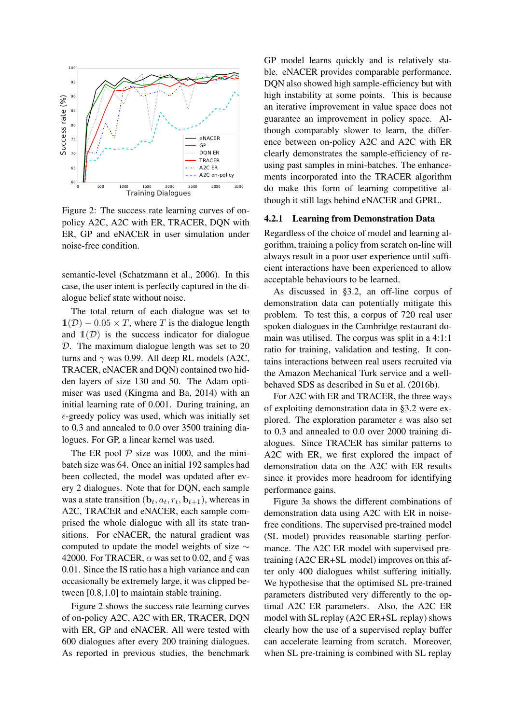

Figure 2: The success rate learning curves of onpolicy A2C, A2C with ER, TRACER, DQN with ER, GP and eNACER in user simulation under noise-free condition.

semantic-level (Schatzmann et al., 2006). In this case, the user intent is perfectly captured in the dialogue belief state without noise.

The total return of each dialogue was set to  $\mathbb{1}(\mathcal{D}) - 0.05 \times T$ , where T is the dialogue length and  $\mathbb{1}(\mathcal{D})$  is the success indicator for dialogue D. The maximum dialogue length was set to 20 turns and  $\gamma$  was 0.99. All deep RL models (A2C, TRACER, eNACER and DQN) contained two hidden layers of size 130 and 50. The Adam optimiser was used (Kingma and Ba, 2014) with an initial learning rate of 0.001. During training, an  $\epsilon$ -greedy policy was used, which was initially set to 0.3 and annealed to 0.0 over 3500 training dialogues. For GP, a linear kernel was used.

The ER pool  $P$  size was 1000, and the minibatch size was 64. Once an initial 192 samples had been collected, the model was updated after every 2 dialogues. Note that for DQN, each sample was a state transition  $(\mathbf{b}_t, a_t, r_t, \mathbf{b}_{t+1})$ , whereas in A2C, TRACER and eNACER, each sample comprised the whole dialogue with all its state transitions. For eNACER, the natural gradient was computed to update the model weights of size ∼ 42000. For TRACER,  $\alpha$  was set to 0.02, and  $\xi$  was 0.01. Since the IS ratio has a high variance and can occasionally be extremely large, it was clipped between [0.8,1.0] to maintain stable training.

Figure 2 shows the success rate learning curves of on-policy A2C, A2C with ER, TRACER, DQN with ER, GP and eNACER. All were tested with 600 dialogues after every 200 training dialogues. As reported in previous studies, the benchmark

GP model learns quickly and is relatively stable. eNACER provides comparable performance. DQN also showed high sample-efficiency but with high instability at some points. This is because an iterative improvement in value space does not guarantee an improvement in policy space. Although comparably slower to learn, the difference between on-policy A2C and A2C with ER clearly demonstrates the sample-efficiency of reusing past samples in mini-batches. The enhancements incorporated into the TRACER algorithm do make this form of learning competitive although it still lags behind eNACER and GPRL.

#### 4.2.1 Learning from Demonstration Data

Regardless of the choice of model and learning algorithm, training a policy from scratch on-line will always result in a poor user experience until sufficient interactions have been experienced to allow acceptable behaviours to be learned.

As discussed in §3.2, an off-line corpus of demonstration data can potentially mitigate this problem. To test this, a corpus of 720 real user spoken dialogues in the Cambridge restaurant domain was utilised. The corpus was split in a 4:1:1 ratio for training, validation and testing. It contains interactions between real users recruited via the Amazon Mechanical Turk service and a wellbehaved SDS as described in Su et al. (2016b).

For A2C with ER and TRACER, the three ways of exploiting demonstration data in §3.2 were explored. The exploration parameter  $\epsilon$  was also set to 0.3 and annealed to 0.0 over 2000 training dialogues. Since TRACER has similar patterns to A2C with ER, we first explored the impact of demonstration data on the A2C with ER results since it provides more headroom for identifying performance gains.

Figure 3a shows the different combinations of demonstration data using A2C with ER in noisefree conditions. The supervised pre-trained model (SL model) provides reasonable starting performance. The A2C ER model with supervised pretraining (A2C ER+SL model) improves on this after only 400 dialogues whilst suffering initially. We hypothesise that the optimised SL pre-trained parameters distributed very differently to the optimal A2C ER parameters. Also, the A2C ER model with SL replay (A2C ER+SL replay) shows clearly how the use of a supervised replay buffer can accelerate learning from scratch. Moreover, when SL pre-training is combined with SL replay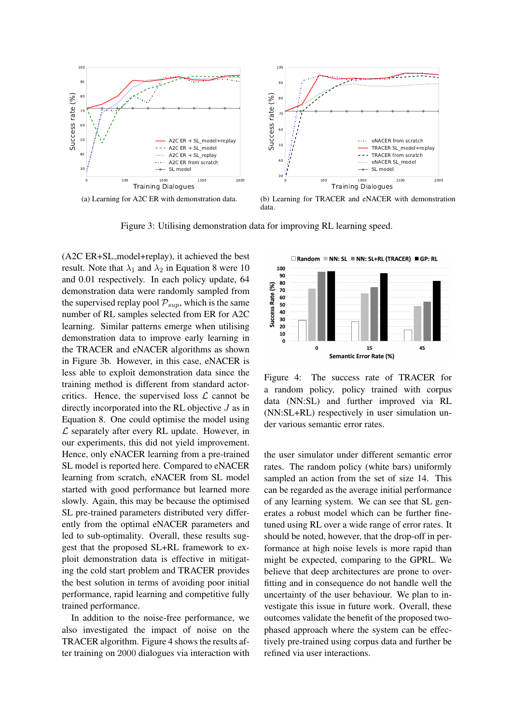

data.

Figure 3: Utilising demonstration data for improving RL learning speed.

(A2C ER+SL model+replay), it achieved the best result. Note that  $\lambda_1$  and  $\lambda_2$  in Equation 8 were 10 and 0.01 respectively. In each policy update, 64 demonstration data were randomly sampled from the supervised replay pool  $P_{sup}$ , which is the same number of RL samples selected from ER for A2C learning. Similar patterns emerge when utilising demonstration data to improve early learning in the TRACER and eNACER algorithms as shown in Figure 3b. However, in this case, eNACER is less able to exploit demonstration data since the training method is different from standard actorcritics. Hence, the supervised loss  $\mathcal L$  cannot be directly incorporated into the RL objective J as in Equation 8. One could optimise the model using  $\mathcal L$  separately after every RL update. However, in our experiments, this did not yield improvement. Hence, only eNACER learning from a pre-trained SL model is reported here. Compared to eNACER learning from scratch, eNACER from SL model started with good performance but learned more slowly. Again, this may be because the optimised SL pre-trained parameters distributed very differently from the optimal eNACER parameters and led to sub-optimality. Overall, these results suggest that the proposed SL+RL framework to exploit demonstration data is effective in mitigating the cold start problem and TRACER provides the best solution in terms of avoiding poor initial performance, rapid learning and competitive fully trained performance.

In addition to the noise-free performance, we also investigated the impact of noise on the TRACER algorithm. Figure 4 shows the results after training on 2000 dialogues via interaction with



Figure 4: The success rate of TRACER for a random policy, policy trained with corpus data (NN:SL) and further improved via RL (NN:SL+RL) respectively in user simulation under various semantic error rates.

the user simulator under different semantic error rates. The random policy (white bars) uniformly sampled an action from the set of size 14. This can be regarded as the average initial performance of any learning system. We can see that SL generates a robust model which can be further finetuned using RL over a wide range of error rates. It should be noted, however, that the drop-off in performance at high noise levels is more rapid than might be expected, comparing to the GPRL. We believe that deep architectures are prone to overfitting and in consequence do not handle well the uncertainty of the user behaviour. We plan to investigate this issue in future work. Overall, these outcomes validate the benefit of the proposed twophased approach where the system can be effectively pre-trained using corpus data and further be refined via user interactions.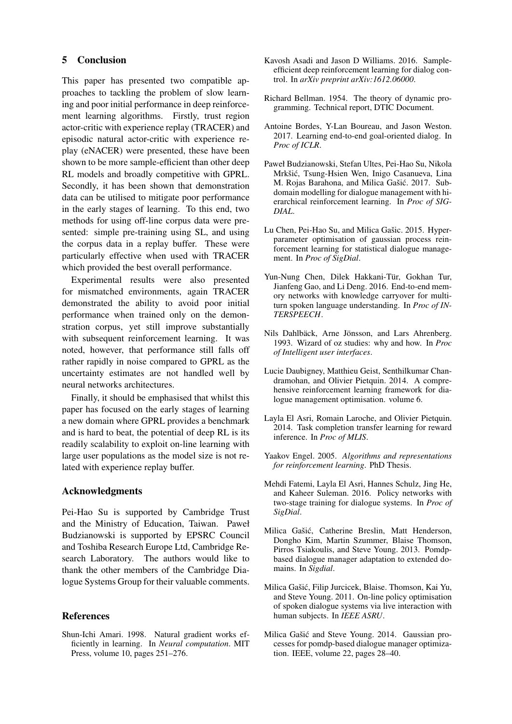# 5 Conclusion

This paper has presented two compatible approaches to tackling the problem of slow learning and poor initial performance in deep reinforcement learning algorithms. Firstly, trust region actor-critic with experience replay (TRACER) and episodic natural actor-critic with experience replay (eNACER) were presented, these have been shown to be more sample-efficient than other deep RL models and broadly competitive with GPRL. Secondly, it has been shown that demonstration data can be utilised to mitigate poor performance in the early stages of learning. To this end, two methods for using off-line corpus data were presented: simple pre-training using SL, and using the corpus data in a replay buffer. These were particularly effective when used with TRACER which provided the best overall performance.

Experimental results were also presented for mismatched environments, again TRACER demonstrated the ability to avoid poor initial performance when trained only on the demonstration corpus, yet still improve substantially with subsequent reinforcement learning. It was noted, however, that performance still falls off rather rapidly in noise compared to GPRL as the uncertainty estimates are not handled well by neural networks architectures.

Finally, it should be emphasised that whilst this paper has focused on the early stages of learning a new domain where GPRL provides a benchmark and is hard to beat, the potential of deep RL is its readily scalability to exploit on-line learning with large user populations as the model size is not related with experience replay buffer.

# Acknowledgments

Pei-Hao Su is supported by Cambridge Trust and the Ministry of Education, Taiwan. Paweł Budzianowski is supported by EPSRC Council and Toshiba Research Europe Ltd, Cambridge Research Laboratory. The authors would like to thank the other members of the Cambridge Dialogue Systems Group for their valuable comments.

# References

Shun-Ichi Amari. 1998. Natural gradient works efficiently in learning. In *Neural computation*. MIT Press, volume 10, pages 251–276.

- Kavosh Asadi and Jason D Williams. 2016. Sampleefficient deep reinforcement learning for dialog control. In *arXiv preprint arXiv:1612.06000*.
- Richard Bellman. 1954. The theory of dynamic programming. Technical report, DTIC Document.
- Antoine Bordes, Y-Lan Boureau, and Jason Weston. 2017. Learning end-to-end goal-oriented dialog. In *Proc of ICLR*.
- Paweł Budzianowski, Stefan Ultes, Pei-Hao Su, Nikola Mrkšić, Tsung-Hsien Wen, Inigo Casanueva, Lina M. Rojas Barahona, and Milica Gašić. 2017. Subdomain modelling for dialogue management with hierarchical reinforcement learning. In *Proc of SIG-DIAL*.
- Lu Chen, Pei-Hao Su, and Milica Gašic. 2015. Hyperparameter optimisation of gaussian process reinforcement learning for statistical dialogue management. In *Proc of SigDial*.
- Yun-Nung Chen, Dilek Hakkani-Tür, Gokhan Tur, Jianfeng Gao, and Li Deng. 2016. End-to-end memory networks with knowledge carryover for multiturn spoken language understanding. In *Proc of IN-TERSPEECH*.
- Nils Dahlbäck, Arne Jönsson, and Lars Ahrenberg. 1993. Wizard of oz studies: why and how. In *Proc of Intelligent user interfaces*.
- Lucie Daubigney, Matthieu Geist, Senthilkumar Chandramohan, and Olivier Pietquin. 2014. A comprehensive reinforcement learning framework for dialogue management optimisation. volume 6.
- Layla El Asri, Romain Laroche, and Olivier Pietquin. 2014. Task completion transfer learning for reward inference. In *Proc of MLIS*.
- Yaakov Engel. 2005. *Algorithms and representations for reinforcement learning*. PhD Thesis.
- Mehdi Fatemi, Layla El Asri, Hannes Schulz, Jing He, and Kaheer Suleman. 2016. Policy networks with two-stage training for dialogue systems. In *Proc of SigDial*.
- Milica Gašić, Catherine Breslin, Matt Henderson, Dongho Kim, Martin Szummer, Blaise Thomson, Pirros Tsiakoulis, and Steve Young. 2013. Pomdpbased dialogue manager adaptation to extended domains. In *Sigdial*.
- Milica Gašić, Filip Jurcicek, Blaise. Thomson, Kai Yu, and Steve Young. 2011. On-line policy optimisation of spoken dialogue systems via live interaction with human subjects. In *IEEE ASRU*.
- Milica Gašić and Steve Young. 2014. Gaussian processes for pomdp-based dialogue manager optimization. IEEE, volume 22, pages 28–40.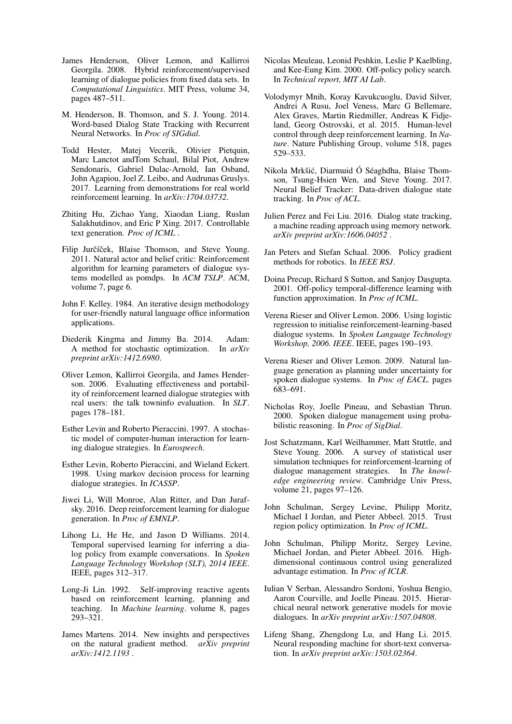- James Henderson, Oliver Lemon, and Kallirroi Georgila. 2008. Hybrid reinforcement/supervised learning of dialogue policies from fixed data sets. In *Computational Linguistics*. MIT Press, volume 34, pages 487–511.
- M. Henderson, B. Thomson, and S. J. Young. 2014. Word-based Dialog State Tracking with Recurrent Neural Networks. In *Proc of SIGdial*.
- Todd Hester, Matej Vecerik, Olivier Pietquin, Marc Lanctot andTom Schaul, Bilal Piot, Andrew Sendonaris, Gabriel Dulac-Arnold, Ian Osband, John Agapiou, Joel Z. Leibo, and Audrunas Gruslys. 2017. Learning from demonstrations for real world reinforcement learning. In *arXiv:1704.03732*.
- Zhiting Hu, Zichao Yang, Xiaodan Liang, Ruslan Salakhutdinov, and Eric P Xing. 2017. Controllable text generation. *Proc of ICML* .
- Filip Jurčíček, Blaise Thomson, and Steve Young. 2011. Natural actor and belief critic: Reinforcement algorithm for learning parameters of dialogue systems modelled as pomdps. In *ACM TSLP*. ACM, volume 7, page 6.
- John F. Kelley. 1984. An iterative design methodology for user-friendly natural language office information applications.
- Diederik Kingma and Jimmy Ba. 2014. Adam: A method for stochastic optimization. In *arXiv preprint arXiv:1412.6980*.
- Oliver Lemon, Kallirroi Georgila, and James Henderson. 2006. Evaluating effectiveness and portability of reinforcement learned dialogue strategies with real users: the talk towninfo evaluation. In *SLT*. pages 178–181.
- Esther Levin and Roberto Pieraccini. 1997. A stochastic model of computer-human interaction for learning dialogue strategies. In *Eurospeech*.
- Esther Levin, Roberto Pieraccini, and Wieland Eckert. 1998. Using markov decision process for learning dialogue strategies. In *ICASSP*.
- Jiwei Li, Will Monroe, Alan Ritter, and Dan Jurafsky. 2016. Deep reinforcement learning for dialogue generation. In *Proc of EMNLP*.
- Lihong Li, He He, and Jason D Williams. 2014. Temporal supervised learning for inferring a dialog policy from example conversations. In *Spoken Language Technology Workshop (SLT), 2014 IEEE*. IEEE, pages 312–317.
- Long-Ji Lin. 1992. Self-improving reactive agents based on reinforcement learning, planning and teaching. In *Machine learning*. volume 8, pages 293–321.
- James Martens. 2014. New insights and perspectives on the natural gradient method. *arXiv preprint arXiv:1412.1193* .
- Nicolas Meuleau, Leonid Peshkin, Leslie P Kaelbling, and Kee-Eung Kim. 2000. Off-policy policy search. In *Technical report, MIT AI Lab*.
- Volodymyr Mnih, Koray Kavukcuoglu, David Silver, Andrei A Rusu, Joel Veness, Marc G Bellemare, Alex Graves, Martin Riedmiller, Andreas K Fidjeland, Georg Ostrovski, et al. 2015. Human-level control through deep reinforcement learning. In *Nature*. Nature Publishing Group, volume 518, pages 529–533.
- Nikola Mrkšić, Diarmuid Ó Séaghdha, Blaise Thomson, Tsung-Hsien Wen, and Steve Young. 2017. Neural Belief Tracker: Data-driven dialogue state tracking. In *Proc of ACL*.
- Julien Perez and Fei Liu. 2016. Dialog state tracking, a machine reading approach using memory network. *arXiv preprint arXiv:1606.04052* .
- Jan Peters and Stefan Schaal. 2006. Policy gradient methods for robotics. In *IEEE RSJ*.
- Doina Precup, Richard S Sutton, and Sanjoy Dasgupta. 2001. Off-policy temporal-difference learning with function approximation. In *Proc of ICML*.
- Verena Rieser and Oliver Lemon. 2006. Using logistic regression to initialise reinforcement-learning-based dialogue systems. In *Spoken Language Technology Workshop, 2006. IEEE*. IEEE, pages 190–193.
- Verena Rieser and Oliver Lemon. 2009. Natural language generation as planning under uncertainty for spoken dialogue systems. In *Proc of EACL*. pages 683–691.
- Nicholas Roy, Joelle Pineau, and Sebastian Thrun. 2000. Spoken dialogue management using probabilistic reasoning. In *Proc of SigDial*.
- Jost Schatzmann, Karl Weilhammer, Matt Stuttle, and Steve Young. 2006. A survey of statistical user simulation techniques for reinforcement-learning of dialogue management strategies. In *The knowledge engineering review*. Cambridge Univ Press, volume 21, pages 97–126.
- John Schulman, Sergey Levine, Philipp Moritz, Michael I Jordan, and Pieter Abbeel. 2015. Trust region policy optimization. In *Proc of ICML*.
- John Schulman, Philipp Moritz, Sergey Levine, Michael Jordan, and Pieter Abbeel. 2016. Highdimensional continuous control using generalized advantage estimation. In *Proc of ICLR*.
- Iulian V Serban, Alessandro Sordoni, Yoshua Bengio, Aaron Courville, and Joelle Pineau. 2015. Hierarchical neural network generative models for movie dialogues. In *arXiv preprint arXiv:1507.04808*.
- Lifeng Shang, Zhengdong Lu, and Hang Li. 2015. Neural responding machine for short-text conversation. In *arXiv preprint arXiv:1503.02364*.